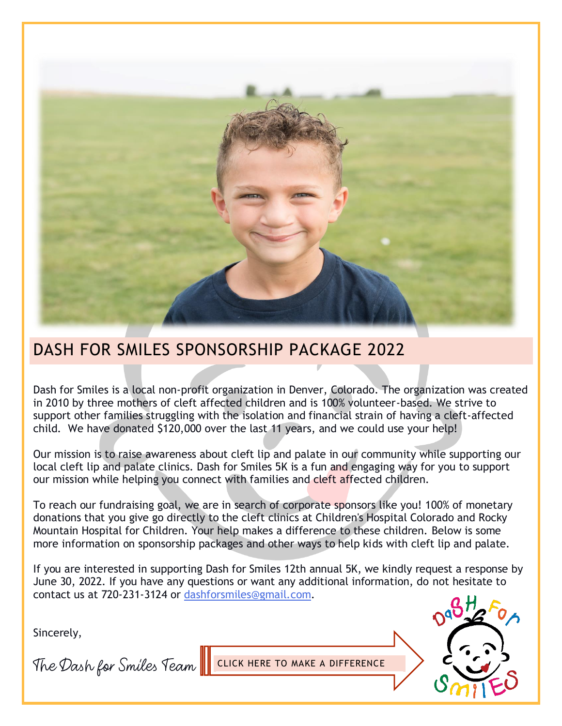

## DASH FOR SMILES SPONSORSHIP PACKAGE 2022

Dash for Smiles is a local non-profit organization in Denver, Colorado. The organization was created in 2010 by three mothers of cleft affected children and is 100% volunteer-based. We strive to support other families struggling with the isolation and financial strain of having a cleft-affected child. We have donated \$120,000 over the last 11 years, and we could use your help!

Our mission is to raise awareness about cleft lip and palate in our community while supporting our local cleft lip and palate clinics. Dash for Smiles 5K is a fun and engaging way for you to support our mission while helping you connect with families and cleft affected children.

To reach our fundraising goal, we are in search of corporate sponsors like you! 100% of monetary donations that you give go directly to the cleft clinics at Children's Hospital Colorado and Rocky Mountain Hospital for Children. Your help makes a difference to these children. Below is some more information on sponsorship packages and other ways to help kids with cleft lip and palate.

If you are interested in supporting Dash for Smiles 12th annual 5K, we kindly request a response by June 30, 2022. If you have any questions or want any additional information, do not hesitate to contact us at 720-231-3124 or [dashforsmiles@gmail.com.](mailto:dashforsmiles@gmail.com)

Sincerely,

The Dash for Smiles Team I CLICK HERE TO MAKE A DIFFERENCE